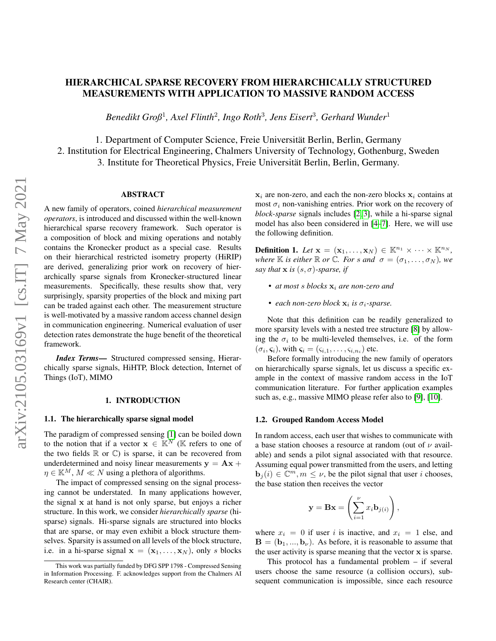# HIERARCHICAL SPARSE RECOVERY FROM HIERARCHICALLY STRUCTURED MEASUREMENTS WITH APPLICATION TO MASSIVE RANDOM ACCESS

*Benedikt Groß*<sup>1</sup> *, Axel Flinth*<sup>2</sup> *, Ingo Roth*<sup>3</sup> *, Jens Eisert*<sup>3</sup> *, Gerhard Wunder*<sup>1</sup>

1. Department of Computer Science, Freie Universität Berlin, Berlin, Germany 2. Institution for Electrical Engineering, Chalmers University of Technology, Gothenburg, Sweden 3. Institute for Theoretical Physics, Freie Universitat Berlin, Berlin, Germany. ¨

## ABSTRACT

A new family of operators, coined *hierarchical measurement operators*, is introduced and discussed within the well-known hierarchical sparse recovery framework. Such operator is a composition of block and mixing operations and notably contains the Kronecker product as a special case. Results on their hierarchical restricted isometry property (HiRIP) are derived, generalizing prior work on recovery of hierarchically sparse signals from Kronecker-structured linear measurements. Specifically, these results show that, very surprisingly, sparsity properties of the block and mixing part can be traded against each other. The measurement structure is well-motivated by a massive random access channel design in communication engineering. Numerical evaluation of user detection rates demonstrate the huge benefit of the theoretical framework.

*Index Terms*— Structured compressed sensing, Hierarchically sparse signals, HiHTP, Block detection, Internet of Things (IoT), MIMO

## 1. INTRODUCTION

## 1.1. The hierarchically sparse signal model

The paradigm of compressed sensing [\[1\]](#page-4-0) can be boiled down to the notion that if a vector  $\mathbf{x} \in \mathbb{K}^N$  ( $\mathbb{K}$  refers to one of the two fields  $\mathbb R$  or  $\mathbb C$ ) is sparse, it can be recovered from underdetermined and noisy linear measurements  $y = Ax +$  $\eta \in \mathbb{K}^M$ ,  $M \ll N$  using a plethora of algorithms.

The impact of compressed sensing on the signal processing cannot be understated. In many applications however, the signal x at hand is not only sparse, but enjoys a richer structure. In this work, we consider *hierarchically sparse* (hisparse) signals. Hi-sparse signals are structured into blocks that are sparse, or may even exhibit a block structure themselves. Sparsity is assumed on all levels of the block structure, i.e. in a hi-sparse signal  $x = (x_1, \ldots, x_N)$ , only s blocks  $x_i$  are non-zero, and each the non-zero blocks  $x_i$  contains at most  $\sigma_i$  non-vanishing entries. Prior work on the recovery of *block-sparse* signals includes [\[2,](#page-4-1) [3\]](#page-4-2), while a hi-sparse signal model has also been considered in [\[4](#page-4-3)[–7\]](#page-4-4). Here, we will use the following definition.

**Definition 1.** Let  $\mathbf{x} = (\mathbf{x}_1, \dots, \mathbf{x}_N) \in \mathbb{K}^{n_1} \times \dots \times \mathbb{K}^{n_N}$ , *where*  $\mathbb K$  *is either*  $\mathbb R$  *or*  $\mathbb C$ *. For s and*  $\sigma = (\sigma_1, \ldots, \sigma_N)$ *, we say that*  $\bf{x}$  *is*  $(s, \sigma)$ *-sparse, if* 

- *at most s blocks*  $x_i$  *are non-zero and*
- *each non-zero block*  $x_i$  *is*  $\sigma_i$ -*sparse.*

Note that this definition can be readily generalized to more sparsity levels with a nested tree structure [\[8\]](#page-4-5) by allowing the  $\sigma_i$  to be multi-leveled themselves, i.e. of the form  $(\sigma_i, \varsigma_i)$ , with  $\varsigma_i = (\varsigma_{i,1}, \ldots, \varsigma_{i,n_i})$  etc.

Before formally introducing the new family of operators on hierarchically sparse signals, let us discuss a specific example in the context of massive random access in the IoT communication literature. For further application examples such as, e.g., massive MIMO please refer also to [\[9\]](#page-4-6), [\[10\]](#page-4-7).

#### 1.2. Grouped Random Access Model

In random access, each user that wishes to communicate with a base station chooses a resource at random (out of  $\nu$  available) and sends a pilot signal associated with that resource. Assuming equal power transmitted from the users, and letting  $\mathbf{b}_j(i) \in \mathbb{C}^m, m \leq \nu$ , be the pilot signal that user i chooses, the base station then receives the vector

$$
\mathbf{y} = \mathbf{B}\mathbf{x} = \left(\sum_{i=1}^{\nu} x_i \mathbf{b}_{j(i)}\right),
$$

where  $x_i = 0$  if user i is inactive, and  $x_i = 1$  else, and  $\mathbf{B} = (\mathbf{b}_1, ..., \mathbf{b}_{\nu})$ . As before, it is reasonable to assume that the user activity is sparse meaning that the vector x is sparse.

This protocol has a fundamental problem – if several users choose the same resource (a collision occurs), subsequent communication is impossible, since each resource

This work was partially funded by DFG SPP 1798 - Compressed Sensing in Information Processing. F. acknowledges support from the Chalmers AI Research center (CHAIR).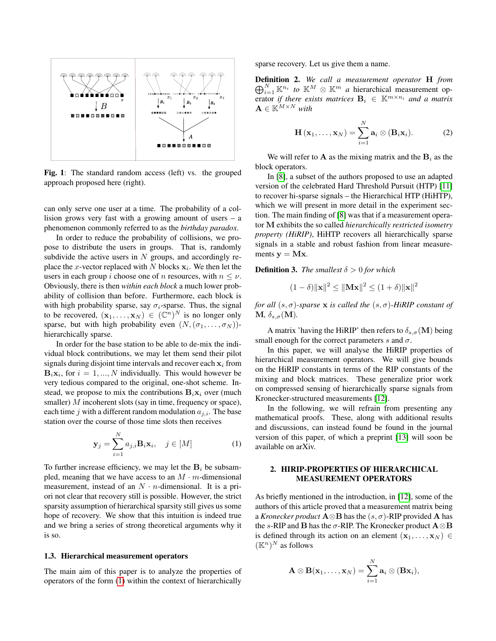

Fig. 1: The standard random access (left) vs. the grouped approach proposed here (right).

can only serve one user at a time. The probability of a collision grows very fast with a growing amount of users – a phenomenon commonly referred to as the *birthday paradox*.

In order to reduce the probability of collisions, we propose to distribute the users in groups. That is, randomly subdivide the active users in  $N$  groups, and accordingly replace the *x*-vector replaced with N blocks  $x_i$ . We then let the users in each group i choose one of n resources, with  $n \leq \nu$ . Obviously, there is then *within each block* a much lower probability of collision than before. Furthermore, each block is with high probability sparse, say  $\sigma_i$ -sparse. Thus, the signal to be recovered,  $(\mathbf{x}_1, \dots, \mathbf{x}_N) \in (\mathbb{C}^n)^N$  is no longer only sparse, but with high probability even  $(N,(\sigma_1,\ldots,\sigma_N))$ hierarchically sparse.

In order for the base station to be able to de-mix the individual block contributions, we may let them send their pilot signals during disjoint time intervals and recover each  $x_i$  from **, for**  $i = 1, ..., N$  **individually. This would however be** very tedious compared to the original, one-shot scheme. Instead, we propose to mix the contributions  $B_i x_i$  over (much smaller) M incoherent slots (say in time, frequency or space), each time j with a different random modulation  $a_{j,i}$ . The base station over the course of those time slots then receives

$$
\mathbf{y}_{j} = \sum_{i=1}^{N} a_{j,i} \mathbf{B}_{i} \mathbf{x}_{i}, \quad j \in [M]
$$
 (1)

To further increase efficiency, we may let the  $B_i$  be subsampled, meaning that we have access to an  $M \cdot m$ -dimensional measurement, instead of an  $N \cdot n$ -dimensional. It is a priori not clear that recovery still is possible. However, the strict sparsity assumption of hierarchical sparsity still gives us some hope of recovery. We show that this intuition is indeed true and we bring a series of strong theoretical arguments why it is so.

## 1.3. Hierarchical measurement operators

The main aim of this paper is to analyze the properties of operators of the form [\(1\)](#page-1-0) within the context of hierarchically

sparse recovery. Let us give them a name.

Definition 2. *We call a measurement operator* H *from*  $\bigoplus_{i=1}^N \mathbb{K}^{n_i}$  to  $\mathbb{K}^M$   $\otimes$   $\mathbb{K}^m$  *a* hierarchical measurement operator *if there exists matrices*  $B_i \in \mathbb{K}^{m \times n_i}$  and a matrix  $\mathbf{A} \in \mathbb{K}^{M \times N}$  with

<span id="page-1-1"></span>
$$
\mathbf{H}(\mathbf{x}_1,\ldots,\mathbf{x}_N)=\sum_{i=1}^N\mathbf{a}_i\otimes(\mathbf{B}_i\mathbf{x}_i). \hspace{1cm} (2)
$$

We will refer to **A** as the mixing matrix and the  $B_i$  as the block operators.

In [\[8\]](#page-4-5), a subset of the authors proposed to use an adapted version of the celebrated Hard Threshold Pursuit (HTP) [\[11\]](#page-4-8) to recover hi-sparse signals – the Hierarchical HTP (HiHTP), which we will present in more detail in the experiment section. The main finding of [\[8\]](#page-4-5) was that if a measurement operator M exhibits the so called *hierarchically restricted isometry property (HiRIP)*, HiHTP recovers all hierarchically sparse signals in a stable and robust fashion from linear measurements  $y = Mx$ .

**Definition 3.** *The smallest*  $\delta > 0$  *for which* 

$$
(1 - \delta) ||\mathbf{x}||^2 \le ||\mathbf{M}\mathbf{x}||^2 \le (1 + \delta) ||\mathbf{x}||^2
$$

*for all*  $(s, \sigma)$ *-sparse* **x** *is called the*  $(s, \sigma)$ *-HiRIP constant of*  $M, \, \delta_{s,\sigma}(M)$ .

A matrix 'having the HiRIP' then refers to  $\delta_{s,\sigma}(\mathbf{M})$  being small enough for the correct parameters s and  $\sigma$ .

In this paper, we will analyse the HiRIP properties of hierarchical measurement operators. We will give bounds on the HiRIP constants in terms of the RIP constants of the mixing and block matrices. These generalize prior work on compressed sensing of hierarchically sparse signals from Kronecker-structured measurements [\[12\]](#page-4-9).

<span id="page-1-0"></span>In the following, we will refrain from presenting any mathematical proofs. These, along with additional results and discussions, can instead found be found in the journal version of this paper, of which a preprint [\[13\]](#page-4-10) will soon be available on arXiv.

## 2. HIRIP-PROPERTIES OF HIERARCHICAL MEASUREMENT OPERATORS

As briefly mentioned in the introduction, in [\[12\]](#page-4-9), some of the authors of this article proved that a measurement matrix being a *Kronecker product*  $\mathbf{A} \otimes \mathbf{B}$  has the  $(s, \sigma)$ -RIP provided **A** has the s-RIP and **B** has the  $\sigma$ -RIP. The Kronecker product  $\mathbf{A} \otimes \mathbf{B}$ is defined through its action on an element  $(x_1, \ldots, x_N) \in$  $(\mathbb{K}^n)^N$  as follows

$$
\mathbf{A}\otimes \mathbf{B}(\mathbf{x}_1,\ldots,\mathbf{x}_N)=\sum_{i=1}^N \mathbf{a}_i\otimes (\mathbf{B}\mathbf{x}_i),
$$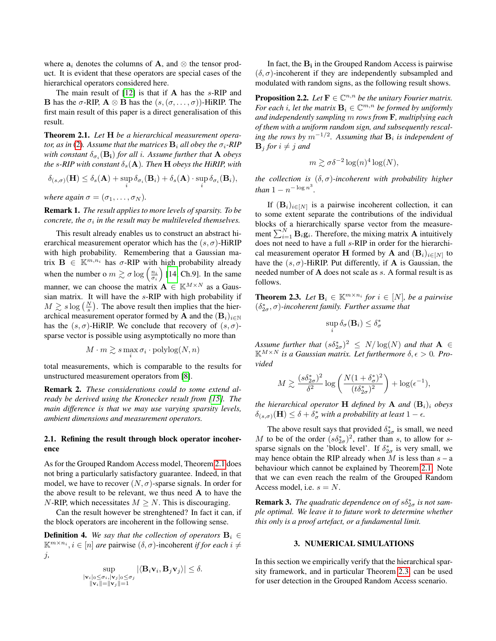where  $a_i$  denotes the columns of A, and  $\otimes$  the tensor product. It is evident that these operators are special cases of the hierarchical operators considered here.

The main result of  $[12]$  is that if  $A$  has the s-RIP and **B** has the  $\sigma$ -RIP,  $A \otimes B$  has the  $(s, (\sigma, \ldots, \sigma))$ -HiRIP. The first main result of this paper is a direct generalisation of this result.

<span id="page-2-0"></span>Theorem 2.1. *Let* H *be a hierarchical measurement operator, as in* [\(2\)](#page-1-1). Assume that the matrices  $\mathbf{B}_i$  all obey the  $\sigma_i$ -RIP with constant  $\delta_{\sigma_i}({\bf B_i})$  *for all i. Assume further that*  ${\bf A}$  *obeys the* s-RIP with constant  $\delta_s(A)$ *. Then* **H** *obeys the HiRIP, with* 

$$
\delta_{(s,\sigma)}(\mathbf{H}) \leq \delta_s(\mathbf{A}) + \sup_i \delta_{\sigma_i}(\mathbf{B}_i) + \delta_s(\mathbf{A}) \cdot \sup_i \delta_{\sigma_i}(\mathbf{B}_i),
$$

*where again*  $\sigma = (\sigma_1, \ldots, \sigma_N)$ *.* 

Remark 1. *The result applies to more levels of sparsity. To be concrete, the*  $\sigma_i$  *in the result may be multileveled themselves.* 

This result already enables us to construct an abstract hierarchical measurement operator which has the  $(s, \sigma)$ -HiRIP with high probability. Remembering that a Gaussian matrix  $\mathbf{B} \in \mathbb{K}^{m,n_i}$  has  $\sigma$ -RIP with high probability already when the number o  $m \gtrsim \sigma \log \left( \frac{n_i}{\sigma_i} \right)$  [\[14,](#page-4-11) Ch.9]. In the same manner, we can choose the matrix  $\mathbf{A} \in \mathbb{K}^{M \times N}$  as a Gaussian matrix. It will have the s-RIP with high probability if  $M \gtrsim s \log \left( \frac{N}{s} \right)$ . The above result then implies that the hierarchical measurement operator formed by A and the  $(\mathbf{B}_i)_{i\in\mathbb{N}}$ has the  $(s, \sigma)$ -HiRIP. We conclude that recovery of  $(s, \sigma)$ sparse vector is possible using asymptotically no more than

$$
M\cdot m \gtrsim s\max_i \sigma_i\cdot {\mathop{\mathrm{polylog}}\nolimits}(N,n)
$$

total measurements, which is comparable to the results for unstructured measurement operators from [\[8\]](#page-4-5).

Remark 2. *These considerations could to some extend already be derived using the Kronecker result from [\[15\]](#page-4-12). The main difference is that we may use varying sparsity levels, ambient dimensions and measurement operators.*

## 2.1. Refining the result through block operator incoherence

As for the Grouped Random Access model, Theorem [2.1](#page-2-0) does not bring a particularly satisfactory guarantee. Indeed, in that model, we have to recover  $(N, \sigma)$ -sparse signals. In order for the above result to be relevant, we thus need A to have the N-RIP, which necessitates  $M \geq N$ . This is discouraging.

Can the result however be strenghtened? In fact it can, if the block operators are incoherent in the following sense.

**Definition 4.** We say that the collection of operators  $\mathbf{B}_i \in$  $\mathbb{K}^{m \times n_i}$ ,  $i \in [n]$  *are* pairwise  $(\delta, \sigma)$ -incoherent *if for each*  $i \neq$ j*,*

$$
\sup_{\substack{|\mathbf{v}_i|_0 \leq \sigma_i, |\mathbf{v}_j|_0 \leq \sigma_j \\ \|\mathbf{v}_i\| = \|\mathbf{v}_j\| = 1}} |\langle \mathbf{B}_i \mathbf{v}_i, \mathbf{B}_j \mathbf{v}_j \rangle| \leq \delta.
$$

In fact, the  $B_i$  in the Grouped Random Access is pairwise  $(\delta, \sigma)$ -incoherent if they are independently subsampled and modulated with random signs, as the following result shows.

**Proposition 2.2.** Let  $\mathbf{F} \in \mathbb{C}^{n,n}$  be the unitary Fourier matrix. For each *i*, let the matrix  $\mathbf{B}_i \in \mathbb{C}^{m,n}$  be formed by uniformly *and independently sampling* m *rows from* F*, multiplying each of them with a uniform random sign, and subsequently rescal-* $\int$ *ing the rows by*  $m^{-1/2}$ . Assuming that  $\mathbf{B}_i$  is independent of  $\mathbf{B}_i$  *for*  $i \neq j$  *and* 

$$
m \gtrsim \sigma \delta^{-2} \log(n)^4 \log(N),
$$

*the collection is* (δ, σ)*-incoherent with probability higher than*  $1 - n^{-\log n^3}$ .

If  $(\mathbf{B}_i)_{i \in [N]}$  is a pairwise incoherent collection, it can to some extent separate the contributions of the individual blocks of a hierarchically sparse vector from the measurement  $\sum_{i=1}^{N} \mathbf{B}_i \mathbf{g}_i$ . Therefore, the mixing matrix **A** intuitively does not need to have a full s-RIP in order for the hierarchical measurement operator **H** formed by **A** and  $(\mathbf{B}_i)_{i \in [N]}$  to have the  $(s, \sigma)$ -HiRIP. Put differently, if **A** is Gaussian, the needed number of A does not scale as s. A formal result is as follows.

<span id="page-2-1"></span>**Theorem 2.3.** Let  $\mathbf{B}_i \in \mathbb{K}^{m \times n_i}$  for  $i \in [N]$ , be a pairwise  $(\delta_{2\sigma}^*, \sigma)$ -incoherent family. Further assume that

$$
\sup_i \delta_\sigma(\mathbf{B}_i) \leq \delta_\sigma^*
$$

Assume further that  $(s\delta_{2\sigma}^*)^2 \le N/\log(N)$  and that  $A \in$  $\mathbb{K}^{M \times N}$  *is a Gaussian matrix. Let furthermore*  $\delta$ ,  $\epsilon > 0$ . Pro*vided*

$$
M \gtrsim \frac{(s\delta_{2\sigma}^*)^2}{\delta^2} \log \left( \frac{N(1+\delta_{\sigma}^*)^2}{(t\delta_{2\sigma}^*)^2} \right) + \log(\epsilon^{-1}),
$$

*the hierarchical operator* **H** *defined by* **A** *and*  $(B_i)_i$  *obeys*  $\delta_{(s,\sigma)}(\mathbf{H}) \leq \delta + \delta_{\sigma}^*$  with a probability at least  $1 - \epsilon$ .

The above result says that provided  $\delta^*_{2\sigma}$  is small, we need M to be of the order  $(s\delta_{2\sigma}^*)^2$ , rather than s, to allow for ssparse signals on the 'block level'. If  $\delta_{2\sigma}^*$  is very small, we may hence obtain the RIP already when  $M$  is less than  $s - a$ behaviour which cannot be explained by Theorem [2.1.](#page-2-0) Note that we can even reach the realm of the Grouped Random Access model, i.e.  $s = N$ .

**Remark 3.** The quadratic dependence on of  $s\delta_{2\sigma}^*$  is not sam*ple optimal. We leave it to future work to determine whether this only is a proof artefact, or a fundamental limit.*

### 3. NUMERICAL SIMULATIONS

In this section we empirically verify that the hierarchical sparsity framework, and in particular Theorem [2.3,](#page-2-1) can be used for user detection in the Grouped Random Access scenario.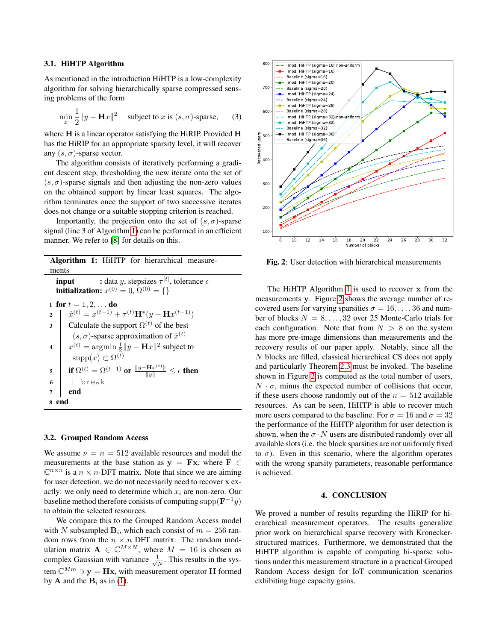## 3.1. HiHTP Algorithm

As mentioned in the introduction HiHTP is a low-complexity algorithm for solving hierarchically sparse compressed sensing problems of the form

$$
\min_{x} \frac{1}{2} \|y - \mathbf{H}x\|^2 \quad \text{subject to } x \text{ is } (s, \sigma) \text{-sparse}, \tag{3}
$$

where H is a linear operator satisfying the HiRIP. Provided H has the HiRIP for an appropriate sparsity level, it will recover any  $(s, \sigma)$ -sparse vector.

The algorithm consists of iteratively performing a gradient descent step, thresholding the new iterate onto the set of  $(s, \sigma)$ -sparse signals and then adjusting the non-zero values on the obtained support by linear least squares. The algorithm terminates once the support of two successive iterates does not change or a suitable stopping criterion is reached.

Importantly, the projection onto the set of  $(s, \sigma)$ -sparse signal (line 3 of Algorithm [1\)](#page-3-0) can be performed in an efficient manner. We refer to [\[8\]](#page-4-5) for details on this.

| <b>Algorithm 1:</b> HiHTP for hierarchical measure-                                                                           |
|-------------------------------------------------------------------------------------------------------------------------------|
| ments                                                                                                                         |
| : data y, stepsizes $\tau^{[t]}$ , tolerance $\epsilon$<br>input<br><b>initialization:</b> $x^{(0)} = 0, \Omega^{(0)} = \{\}$ |
| 1 for $t = 1, 2, $ do                                                                                                         |
| $\hat{x}^{(t)} = x^{(t-1)} + \tau^{(t)} \mathbf{H}^*(y - \mathbf{H}x^{(t-1)})$<br>$\overline{2}$                              |
| Calculate the support $\Omega^{(t)}$ of the best<br>3                                                                         |
| $(s, \sigma)$ -sparse approximation of $\hat{x}^{(t)}$                                                                        |
| $x^{(t)} = \operatorname{argmin} \frac{1}{2}   y - \mathbf{H}x  ^2$ subject to<br>$\boldsymbol{4}$                            |
| $supp(x) \subset \Omega^{(t)}$                                                                                                |
| if $\Omega^{(t)} = \Omega^{(t-1)}$ or $\frac{\ y - \mathbf{H}x^{(t)}\ }{\ u\ } \leq \epsilon$ then<br>5                       |
| break<br>6                                                                                                                    |
| end<br>7                                                                                                                      |
| end<br>8                                                                                                                      |

## <span id="page-3-0"></span>3.2. Grouped Random Access

We assume  $\nu = n = 512$  available resources and model the measurements at the base station as  $y = Fx$ , where  $F \in$  $\mathbb{C}^{n \times n}$  is a  $n \times n$ -DFT matrix. Note that since we are aiming for user detection, we do not necessarily need to recover x exactly: we only need to determine which  $x_i$  are non-zero. Our baseline method therefore consists of computing  $\text{supp}(\mathbf{F}^{-1}y)$ to obtain the selected resources.

We compare this to the Grouped Random Access model with N subsampled  $B_i$ , which each consist of  $m = 256$  random rows from the  $n \times n$  DFT matrix. The random modulation matrix  $\mathbf{A} \in \mathbb{C}^{M \times N}$ , where  $M = 16$  is chosen as complex Gaussian with variance  $\frac{1}{\sqrt{2}}$  $\frac{1}{N}$ . This results in the system  $\mathbb{C}^{Mm} \ni y = Hx$ , with measurement operator H formed by **A** and the  $B_i$  as in [\(1\)](#page-1-0).

<span id="page-3-1"></span>

Fig. 2: User detection with hierarchical measurements

The HiHTP Algorithm [1](#page-3-0) is used to recover x from the measurements y. Figure [2](#page-3-1) shows the average number of recovered users for varying sparsities  $\sigma = 16, \ldots, 36$  and number of blocks  $N = 8, \ldots, 32$  over 25 Monte-Carlo trials for each configuration. Note that from  $N > 8$  on the system has more pre-image dimensions than measurements and the recovery results of our paper apply. Notably, since all the N blocks are filled, classical hierarchical CS does not apply and particularly Theorem [2.3](#page-2-1) must be invoked. The baseline shown in Figure [2](#page-3-1) is computed as the total number of users,  $N \cdot \sigma$ , minus the expected number of collisions that occur, if these users choose randomly out of the  $n = 512$  available resources. As can be seen, HiHTP is able to recover much more users compared to the baseline. For  $\sigma = 16$  and  $\sigma = 32$ the performance of the HiHTP algorithm for user detection is shown, when the  $\sigma \cdot N$  users are distributed randomly over all available slots (i.e. the block sparsities are not uniformly fixed to  $\sigma$ ). Even in this scenario, where the algorithm operates with the wrong sparsity parameters, reasonable performance is achieved.

#### 4. CONCLUSION

We proved a number of results regarding the HiRIP for hierarchical measurement operators. The results generalize prior work on hierarchical sparse recovery with Kroneckerstructured matrices. Furthermore, we demonstrated that the HiHTP algorithm is capable of computing hi-sparse solutions under this measurement structure in a practical Grouped Random Access design for IoT communication scenarios exhibiting huge capacity gains.